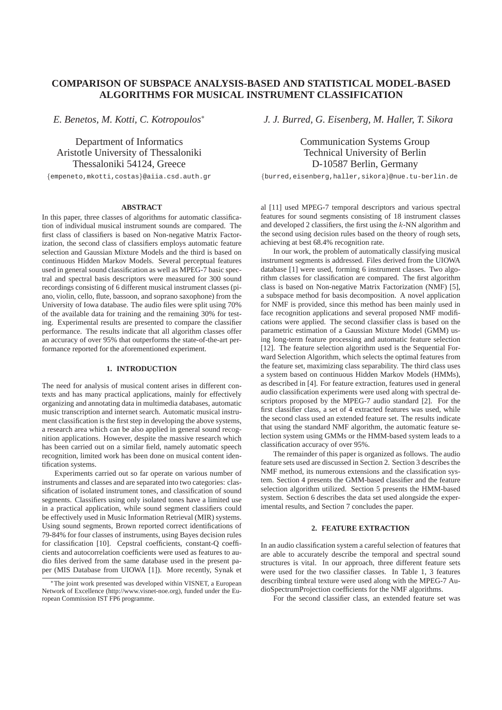# **COMPARISON OF SUBSPACE ANALYSIS-BASED AND STATISTICAL MODEL-BASED ALGORITHMS FOR MUSICAL INSTRUMENT CLASSIFICATION**

*E. Benetos, M. Kotti, C. Kotropoulos*<sup>∗</sup>

Department of Informatics Aristotle University of Thessaloniki Thessaloniki 54124, Greece

{empeneto,mkotti,costas}@aiia.csd.auth.gr

# **ABSTRACT**

In this paper, three classes of algorithms for automatic classification of individual musical instrument sounds are compared. The first class of classifiers is based on Non-negative Matrix Factorization, the second class of classifiers employs automatic feature selection and Gaussian Mixture Models and the third is based on continuous Hidden Markov Models. Several perceptual features used in general sound classification as well as MPEG-7 basic spectral and spectral basis descriptors were measured for 300 sound recordings consisting of 6 different musical instrument classes (piano, violin, cello, flute, bassoon, and soprano saxophone) from the University of Iowa database. The audio files were split using 70% of the available data for training and the remaining 30% for testing. Experimental results are presented to compare the classifier performance. The results indicate that all algorithm classes offer an accuracy of over 95% that outperforms the state-of-the-art performance reported for the aforementioned experiment.

#### **1. INTRODUCTION**

The need for analysis of musical content arises in different contexts and has many practical applications, mainly for effectively organizing and annotating data in multimedia databases, automatic music transcription and internet search. Automatic musical instrument classification is the first step in developing the above systems, a research area which can be also applied in general sound recognition applications. However, despite the massive research which has been carried out on a similar field, namely automatic speech recognition, limited work has been done on musical content identification systems.

Experiments carried out so far operate on various number of instruments and classes and are separated into two categories: classification of isolated instrument tones, and classification of sound segments. Classifiers using only isolated tones have a limited use in a practical application, while sound segment classifiers could be effectively used in Music Information Retrieval (MIR) systems. Using sound segments, Brown reported correct identifications of 79-84% for four classes of instruments, using Bayes decision rules for classification [10]. Cepstral coefficients, constant-Q coefficients and autocorrelation coefficients were used as features to audio files derived from the same database used in the present paper (MIS Database from UIOWA [1]). More recently, Synak et *J. J. Burred, G. Eisenberg, M. Haller, T. Sikora*

Communication Systems Group Technical University of Berlin D-10587 Berlin, Germany

{burred,eisenberg,haller,sikora}@nue.tu-berlin.de

al [11] used MPEG-7 temporal descriptors and various spectral features for sound segments consisting of 18 instrument classes and developed 2 classifiers, the first using the  $k$ -NN algorithm and the second using decision rules based on the theory of rough sets, achieving at best 68.4% recognition rate.

In our work, the problem of automatically classifying musical instrument segments is addressed. Files derived from the UIOWA database [1] were used, forming 6 instrument classes. Two algorithm classes for classification are compared. The first algorithm class is based on Non-negative Matrix Factorization (NMF) [5], a subspace method for basis decomposition. A novel application for NMF is provided, since this method has been mainly used in face recognition applications and several proposed NMF modifications were applied. The second classifier class is based on the parametric estimation of a Gaussian Mixture Model (GMM) using long-term feature processing and automatic feature selection [12]. The feature selection algorithm used is the Sequential Forward Selection Algorithm, which selects the optimal features from the feature set, maximizing class separability. The third class uses a system based on continuous Hidden Markov Models (HMMs), as described in [4]. For feature extraction, features used in general audio classification experiments were used along with spectral descriptors proposed by the MPEG-7 audio standard [2]. For the first classifier class, a set of 4 extracted features was used, while the second class used an extended feature set. The results indicate that using the standard NMF algorithm, the automatic feature selection system using GMMs or the HMM-based system leads to a classification accuracy of over 95%.

The remainder of this paper is organized as follows. The audio feature sets used are discussed in Section 2. Section 3 describes the NMF method, its numerous extensions and the classification system. Section 4 presents the GMM-based classifier and the feature selection algorithm utilized. Section 5 presents the HMM-based system. Section 6 describes the data set used alongside the experimental results, and Section 7 concludes the paper.

### **2. FEATURE EXTRACTION**

In an audio classification system a careful selection of features that are able to accurately describe the temporal and spectral sound structures is vital. In our approach, three different feature sets were used for the two classifier classes. In Table 1, 3 features describing timbral texture were used along with the MPEG-7 AudioSpectrumProjection coefficients for the NMF algorithms.

For the second classifier class, an extended feature set was

<sup>∗</sup>The joint work presented was developed within VISNET, a European Network of Excellence (http://www.visnet-noe.org), funded under the European Commission IST FP6 programme.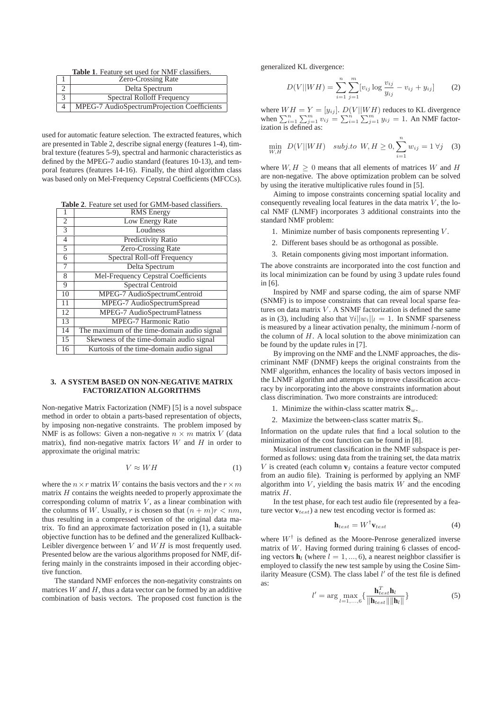**Table 1**. Feature set used for NMF classifiers.

| <b>Zero-Crossing Rate</b>                   |
|---------------------------------------------|
| Delta Spectrum                              |
| <b>Spectral Rolloff Frequency</b>           |
| MPEG-7 AudioSpectrumProjection Coefficients |

used for automatic feature selection. The extracted features, which are presented in Table 2, describe signal energy (features 1-4), timbral texture (features 5-9), spectral and harmonic characteristics as defined by the MPEG-7 audio standard (features 10-13), and temporal features (features 14-16). Finally, the third algorithm class was based only on Mel-Frequency Cepstral Coefficients (MFCCs).

**Table 2**. Feature set used for GMM-based classifiers.

| 1              | <b>RMS</b> Energy                           |
|----------------|---------------------------------------------|
| 2              | Low Energy Rate                             |
| $\overline{3}$ | Loudness                                    |
| $\overline{4}$ | <b>Predictivity Ratio</b>                   |
| 5              | Zero-Crossing Rate                          |
| 6              | Spectral Roll-off Frequency                 |
| 7              | Delta Spectrum                              |
| 8              | Mel-Frequency Cepstral Coefficients         |
| 9              | Spectral Centroid                           |
| 10             | MPEG-7 AudioSpectrumCentroid                |
| 11             | MPEG-7 AudioSpectrumSpread                  |
| 12             | MPEG-7 AudioSpectrumFlatness                |
| 13             | <b>MPEG-7 Harmonic Ratio</b>                |
| 14             | The maximum of the time-domain audio signal |
| 15             | Skewness of the time-domain audio signal    |
| 16             | Kurtosis of the time-domain audio signal    |

# **3. A SYSTEM BASED ON NON-NEGATIVE MATRIX FACTORIZATION ALGORITHMS**

Non-negative Matrix Factorization (NMF) [5] is a novel subspace method in order to obtain a parts-based representation of objects, by imposing non-negative constraints. The problem imposed by NMF is as follows: Given a non-negative  $n \times m$  matrix V (data matrix), find non-negative matrix factors  $W$  and  $H$  in order to approximate the original matrix:

$$
V \approx WH \tag{1}
$$

where the  $n \times r$  matrix W contains the basis vectors and the  $r \times m$ matrix  $H$  contains the weights needed to properly approximate the corresponding column of matrix  $V$ , as a linear combination with the columns of W. Usually, r is chosen so that  $(n + m)r < nm$ , thus resulting in a compressed version of the original data matrix. To find an approximate factorization posed in (1), a suitable objective function has to be defined and the generalized Kullback-Leibler divergence between  $V$  and  $WH$  is most frequently used. Presented below are the various algorithms proposed for NMF, differing mainly in the constraints imposed in their according objective function.

The standard NMF enforces the non-negativity constraints on matrices  $W$  and  $H$ , thus a data vector can be formed by an additive combination of basis vectors. The proposed cost function is the generalized KL divergence:

$$
D(V||WH) = \sum_{i=1}^{n} \sum_{j=1}^{m} [v_{ij} \log \frac{v_{ij}}{y_{ij}} - v_{ij} + y_{ij}] \tag{2}
$$

where  $WH = Y = [y_{ij}]$ .  $D(V||WH)$  reduces to KL divergence when  $\sum_{i=1}^{n} \sum_{j=1}^{m} v_{ij} = \sum_{i=1}^{n} \sum_{j=1}^{m} y_{ij} = 1$ . An NMF factorization is defined as:

$$
\min_{W,H} \ D(V||WH) \quad \text{subject to} \ \ W, H \ge 0, \sum_{i=1}^{n} w_{ij} = 1 \ \forall j \quad (3)
$$

where  $W, H \geq 0$  means that all elements of matrices W and H are non-negative. The above optimization problem can be solved by using the iterative multiplicative rules found in [5].

Aiming to impose constraints concerning spatial locality and consequently revealing local features in the data matrix  $V$ , the local NMF (LNMF) incorporates 3 additional constraints into the standard NMF problem:

- 1. Minimize number of basis components representing  $V$ .
- 2. Different bases should be as orthogonal as possible.
- 3. Retain components giving most important information.

The above constraints are incorporated into the cost function and its local minimization can be found by using 3 update rules found in [6].

Inspired by NMF and sparse coding, the aim of sparse NMF (SNMF) is to impose constraints that can reveal local sparse features on data matrix  $V$ . A SNMF factorization is defined the same as in (3), including also that  $\forall i ||w_i||_l = 1$ . In SNMF sparseness is measured by a linear activation penalty, the minimum l-norm of the column of  $H$ . A local solution to the above minimization can be found by the update rules in [7].

By improving on the NMF and the LNMF approaches, the discriminant NMF (DNMF) keeps the original constraints from the NMF algorithm, enhances the locality of basis vectors imposed in the LNMF algorithm and attempts to improve classification accuracy by incorporating into the above constraints information about class discrimination. Two more constraints are introduced:

- 1. Minimize the within-class scatter matrix  $S_w$ .
- 2. Maximize the between-class scatter matrix  $S_b$ .

Information on the update rules that find a local solution to the minimization of the cost function can be found in [8].

Musical instrument classification in the NMF subspace is performed as follows: using data from the training set, the data matrix V is created (each column  $\mathbf{v}_i$  contains a feature vector computed from an audio file). Training is performed by applying an NMF algorithm into  $V$ , yielding the basis matrix  $W$  and the encoding matrix H.

In the test phase, for each test audio file (represented by a feature vector  $\mathbf{v}_{test}$ ) a new test encoding vector is formed as:

$$
\mathbf{h}_{test} = W^{\dagger} \mathbf{v}_{test} \tag{4}
$$

where  $W^{\dagger}$  is defined as the Moore-Penrose generalized inverse matrix of W. Having formed during training 6 classes of encoding vectors  $\mathbf{h}_l$  (where  $l = 1, ..., 6$ ), a nearest neighbor classifier is employed to classify the new test sample by using the Cosine Similarity Measure (CSM). The class label l' of the test file is defined as:

$$
l' = \arg\max_{l=1,\dots,6} \left\{ \frac{\mathbf{h}_{test}^T \mathbf{h}_l}{\|\mathbf{h}_{test}\| \|\mathbf{h}_l\|} \right\}
$$
(5)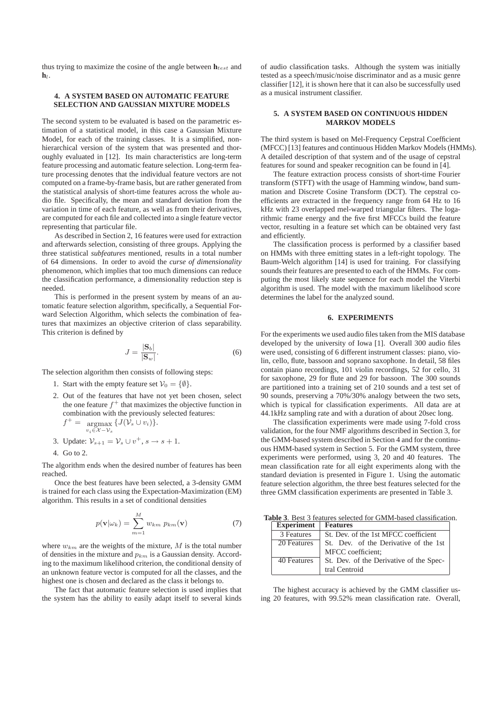thus trying to maximize the cosine of the angle between  $\mathbf{h}_{test}$  and  $h_l$ .

# **4. A SYSTEM BASED ON AUTOMATIC FEATURE SELECTION AND GAUSSIAN MIXTURE MODELS**

The second system to be evaluated is based on the parametric estimation of a statistical model, in this case a Gaussian Mixture Model, for each of the training classes. It is a simplified, nonhierarchical version of the system that was presented and thoroughly evaluated in [12]. Its main characteristics are long-term feature processing and automatic feature selection. Long-term feature processing denotes that the individual feature vectors are not computed on a frame-by-frame basis, but are rather generated from the statistical analysis of short-time features across the whole audio file. Specifically, the mean and standard deviation from the variation in time of each feature, as well as from their derivatives, are computed for each file and collected into a single feature vector representing that particular file.

As described in Section 2, 16 features were used for extraction and afterwards selection, consisting of three groups. Applying the three statistical *subfeatures* mentioned, results in a total number of 64 dimensions. In order to avoid the *curse of dimensionality* phenomenon, which implies that too much dimensions can reduce the classification performance, a dimensionality reduction step is needed.

This is performed in the present system by means of an automatic feature selection algorithm, specifically, a Sequential Forward Selection Algorithm, which selects the combination of features that maximizes an objective criterion of class separability. This criterion is defined by

$$
J = \frac{|\mathbf{S}_b|}{|\mathbf{S}_w|}.\tag{6}
$$

The selection algorithm then consists of following steps:

- 1. Start with the empty feature set  $V_0 = \{\emptyset\}.$
- 2. Out of the features that have not yet been chosen, select the one feature  $f^+$  that maximizes the objective function in combination with the previously selected features:  $f^+ = \argmax \{ J(\hat{\mathcal{V}}_s \cup v_i) \}.$ 
	- $v_i \in \mathcal{X}-\mathcal{V}_s$
- 3. Update:  $\mathcal{V}_{s+1} = \mathcal{V}_s \cup v^+, s \rightarrow s+1.$ 4. Go to 2.

The algorithm ends when the desired number of features has been reached.

Once the best features have been selected, a 3-density GMM is trained for each class using the Expectation-Maximization (EM) algorithm. This results in a set of conditional densities

$$
p(\mathbf{v}|\omega_k) = \sum_{m=1}^{M} w_{km} \ p_{km}(\mathbf{v})
$$
 (7)

where  $w_{km}$  are the weights of the mixture, M is the total number of densities in the mixture and  $p_{km}$  is a Gaussian density. According to the maximum likelihood criterion, the conditional density of an unknown feature vector is computed for all the classes, and the highest one is chosen and declared as the class it belongs to.

The fact that automatic feature selection is used implies that the system has the ability to easily adapt itself to several kinds of audio classification tasks. Although the system was initially tested as a speech/music/noise discriminator and as a music genre classifier [12], it is shown here that it can also be successfully used as a musical instrument classifier.

### **5. A SYSTEM BASED ON CONTINUOUS HIDDEN MARKOV MODELS**

The third system is based on Mel-Frequency Cepstral Coefficient (MFCC) [13] features and continuous Hidden Markov Models (HMMs). A detailed description of that system and of the usage of cepstral features for sound and speaker recognition can be found in [4].

The feature extraction process consists of short-time Fourier transform (STFT) with the usage of Hamming window, band summation and Discrete Cosine Transform (DCT). The cepstral coefficients are extracted in the frequency range from 64 Hz to 16 kHz with 23 overlapped mel-warped triangular filters. The logarithmic frame energy and the five first MFCCs build the feature vector, resulting in a feature set which can be obtained very fast and efficiently.

The classification process is performed by a classifier based on HMMs with three emitting states in a left-right topology. The Baum-Welch algorithm [14] is used for training. For classifying sounds their features are presented to each of the HMMs. For computing the most likely state sequence for each model the Viterbi algorithm is used. The model with the maximum likelihood score determines the label for the analyzed sound.

# **6. EXPERIMENTS**

For the experiments we used audio files taken from the MIS database developed by the university of Iowa [1]. Overall 300 audio files were used, consisting of 6 different instrument classes: piano, violin, cello, flute, bassoon and soprano saxophone. In detail, 58 files contain piano recordings, 101 violin recordings, 52 for cello, 31 for saxophone, 29 for flute and 29 for bassoon. The 300 sounds are partitioned into a training set of 210 sounds and a test set of 90 sounds, preserving a 70%/30% analogy between the two sets, which is typical for classification experiments. All data are at 44.1kHz sampling rate and with a duration of about 20sec long.

The classification experiments were made using 7-fold cross validation, for the four NMF algorithms described in Section 3, for the GMM-based system described in Section 4 and for the continuous HMM-based system in Section 5. For the GMM system, three experiments were performed, using 3, 20 and 40 features. The mean classification rate for all eight experiments along with the standard deviation is presented in Figure 1. Using the automatic feature selection algorithm, the three best features selected for the three GMM classification experiments are presented in Table 3.

**Table 3**. Best 3 features selected for GMM-based classification.

| <b>Experiment</b> | <b>Features</b>                         |
|-------------------|-----------------------------------------|
| 3 Features        | St. Dev. of the 1st MFCC coefficient    |
| 20 Features       | St. Dev. of the Derivative of the 1st   |
|                   | MFCC coefficient;                       |
| 40 Features       | St. Dev. of the Derivative of the Spec- |
|                   | tral Centroid                           |

The highest accuracy is achieved by the GMM classifier using 20 features, with 99.52% mean classification rate. Overall,